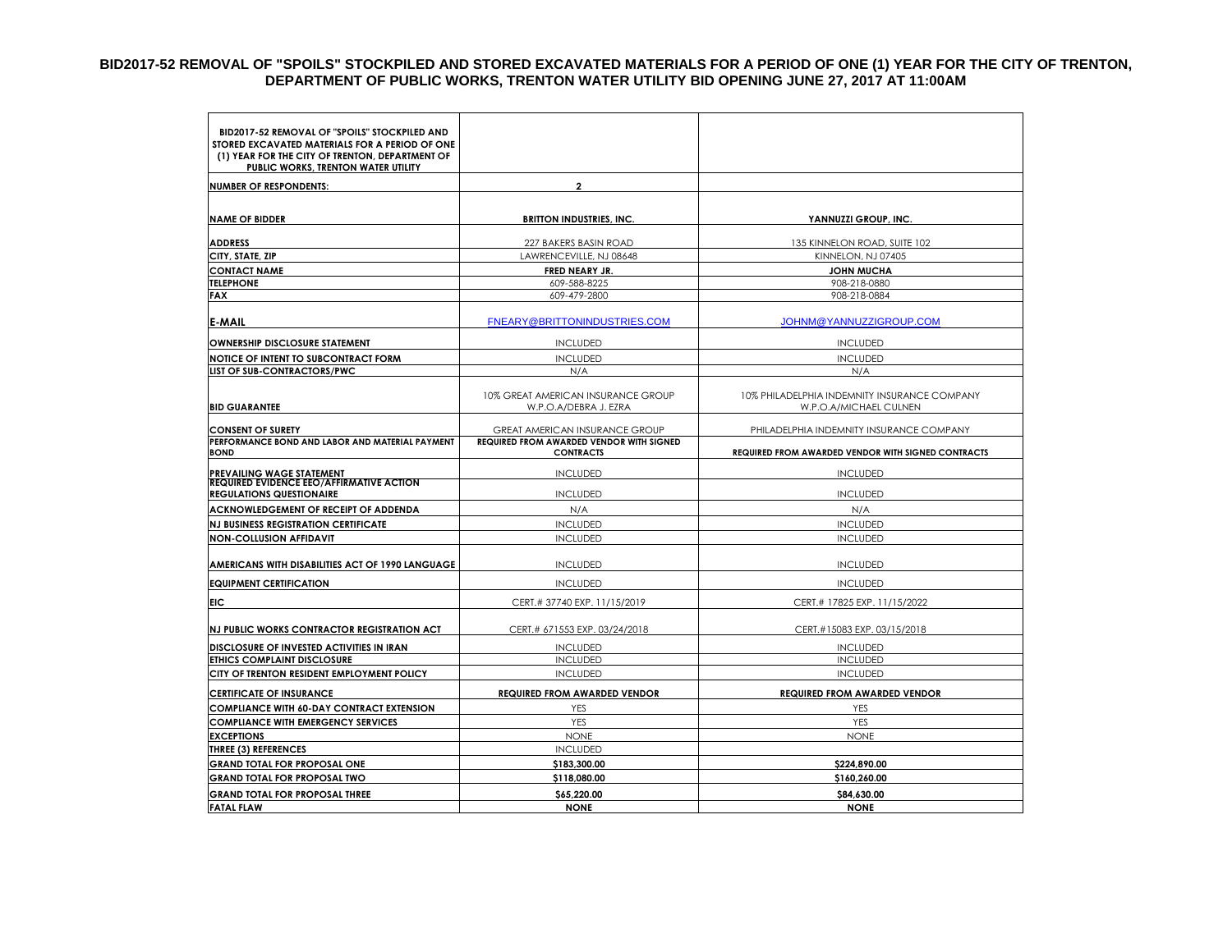#### **BID2017-52 REMOVAL OF "SPOILS" STOCKPILED AND STORED EXCAVATED MATERIALS FOR A PERIOD OF ONE (1) YEAR FOR THE CITY OF TRENTON, DEPARTMENT OF PUBLIC WORKS, TRENTON WATER UTILITY BID OPENING JUNE 27, 2017 AT 11:00AM**

| BID2017-52 REMOVAL OF "SPOILS" STOCKPILED AND<br>STORED EXCAVATED MATERIALS FOR A PERIOD OF ONE<br>(1) YEAR FOR THE CITY OF TRENTON, DEPARTMENT OF |                                                                     |                                                                        |  |
|----------------------------------------------------------------------------------------------------------------------------------------------------|---------------------------------------------------------------------|------------------------------------------------------------------------|--|
| PUBLIC WORKS, TRENTON WATER UTILITY                                                                                                                | $\overline{\mathbf{c}}$                                             |                                                                        |  |
| <b>NUMBER OF RESPONDENTS:</b>                                                                                                                      |                                                                     |                                                                        |  |
| <b>NAME OF BIDDER</b>                                                                                                                              | <b>BRITTON INDUSTRIES, INC.</b>                                     | YANNUZZI GROUP, INC.                                                   |  |
| <b>ADDRESS</b>                                                                                                                                     | 227 BAKERS BASIN ROAD                                               | 135 KINNELON ROAD, SUITE 102                                           |  |
| CITY, STATE, ZIP                                                                                                                                   | LAWRENCEVILLE, NJ 08648                                             | KINNELON, NJ 07405                                                     |  |
| <b>CONTACT NAME</b>                                                                                                                                | FRED NEARY JR.                                                      | <b>JOHN MUCHA</b>                                                      |  |
| <b>TELEPHONE</b>                                                                                                                                   | 609-588-8225                                                        | 908-218-0880                                                           |  |
| <b>FAX</b>                                                                                                                                         | 609-479-2800                                                        | 908-218-0884                                                           |  |
| <b>E-MAIL</b>                                                                                                                                      | FNEARY@BRITTONINDUSTRIES.COM                                        | <b>JOHNM@YANNUZZIGROUP.COM</b>                                         |  |
| <b>OWNERSHIP DISCLOSURE STATEMENT</b>                                                                                                              | <b>INCLUDED</b>                                                     | <b>INCLUDED</b>                                                        |  |
| NOTICE OF INTENT TO SUBCONTRACT FORM                                                                                                               | <b>INCLUDED</b>                                                     | <b>INCLUDED</b>                                                        |  |
| LIST OF SUB-CONTRACTORS/PWC                                                                                                                        | N/A                                                                 | N/A                                                                    |  |
| <b>BID GUARANTEE</b>                                                                                                                               | 10% GREAT AMERICAN INSURANCE GROUP<br>W.P.O.A/DEBRA J. EZRA         | 10% PHILADELPHIA INDEMNITY INSURANCE COMPANY<br>W.P.O.A/MICHAEL CULNEN |  |
| <b>CONSENT OF SURETY</b>                                                                                                                           | <b>GREAT AMERICAN INSURANCE GROUP</b>                               | PHILADELPHIA INDEMNITY INSURANCE COMPANY                               |  |
| PERFORMANCE BOND AND LABOR AND MATERIAL PAYMENT<br><b>BOND</b>                                                                                     | <b>REQUIRED FROM AWARDED VENDOR WITH SIGNED</b><br><b>CONTRACTS</b> |                                                                        |  |
|                                                                                                                                                    |                                                                     | REQUIRED FROM AWARDED VENDOR WITH SIGNED CONTRACTS                     |  |
| PREVAILING WAGE STATEMENT                                                                                                                          | <b>INCLUDED</b>                                                     | <b>INCLUDED</b>                                                        |  |
| <b>REQUIRED EVIDENCE EEO/AFFIRMATIVE ACTION</b><br><b>REGULATIONS QUESTIONAIRE</b>                                                                 | <b>INCLUDED</b>                                                     | <b>INCLUDED</b>                                                        |  |
| ACKNOWLEDGEMENT OF RECEIPT OF ADDENDA                                                                                                              | N/A                                                                 | N/A                                                                    |  |
| <b>NJ BUSINESS REGISTRATION CERTIFICATE</b>                                                                                                        | <b>INCLUDED</b>                                                     | <b>INCLUDED</b>                                                        |  |
| <b>NON-COLLUSION AFFIDAVIT</b>                                                                                                                     | <b>INCLUDED</b>                                                     | <b>INCLUDED</b>                                                        |  |
|                                                                                                                                                    |                                                                     |                                                                        |  |
| AMERICANS WITH DISABILITIES ACT OF 1990 LANGUAGE                                                                                                   | <b>INCLUDED</b>                                                     | <b>INCLUDED</b>                                                        |  |
| <b>EQUIPMENT CERTIFICATION</b>                                                                                                                     | <b>INCLUDED</b>                                                     | <b>INCLUDED</b>                                                        |  |
| <b>EIC</b>                                                                                                                                         | CERT.# 37740 EXP. 11/15/2019                                        | CERT.# 17825 EXP. 11/15/2022                                           |  |
| NJ PUBLIC WORKS CONTRACTOR REGISTRATION ACT                                                                                                        | CERT.# 671553 EXP. 03/24/2018                                       | CERT.#15083 EXP. 03/15/2018                                            |  |
| DISCLOSURE OF INVESTED ACTIVITIES IN IRAN                                                                                                          | <b>INCLUDED</b>                                                     | <b>INCLUDED</b>                                                        |  |
| <b>ETHICS COMPLAINT DISCLOSURE</b>                                                                                                                 | <b>INCLUDED</b>                                                     | <b>INCLUDED</b>                                                        |  |
| CITY OF TRENTON RESIDENT EMPLOYMENT POLICY                                                                                                         | <b>INCLUDED</b>                                                     | <b>INCLUDED</b>                                                        |  |
| <b>CERTIFICATE OF INSURANCE</b>                                                                                                                    | <b>REQUIRED FROM AWARDED VENDOR</b>                                 | <b>REQUIRED FROM AWARDED VENDOR</b>                                    |  |
| <b>COMPLIANCE WITH 60-DAY CONTRACT EXTENSION</b>                                                                                                   | YES                                                                 | <b>YES</b>                                                             |  |
| <b>COMPLIANCE WITH EMERGENCY SERVICES</b>                                                                                                          | YES                                                                 | YES                                                                    |  |
| <b>EXCEPTIONS</b>                                                                                                                                  | <b>NONE</b>                                                         | <b>NONE</b>                                                            |  |
| <b>THREE (3) REFERENCES</b>                                                                                                                        | <b>INCLUDED</b>                                                     |                                                                        |  |
| <b>GRAND TOTAL FOR PROPOSAL ONE</b>                                                                                                                | \$183,300.00                                                        | \$224,890.00                                                           |  |
| <b>GRAND TOTAL FOR PROPOSAL TWO</b>                                                                                                                | \$118,080.00                                                        | \$160,260.00                                                           |  |
| <b>GRAND TOTAL FOR PROPOSAL THREE</b>                                                                                                              | \$65,220.00                                                         | \$84,630.00                                                            |  |
| <b>FATAL FLAW</b>                                                                                                                                  | <b>NONE</b>                                                         | <b>NONE</b>                                                            |  |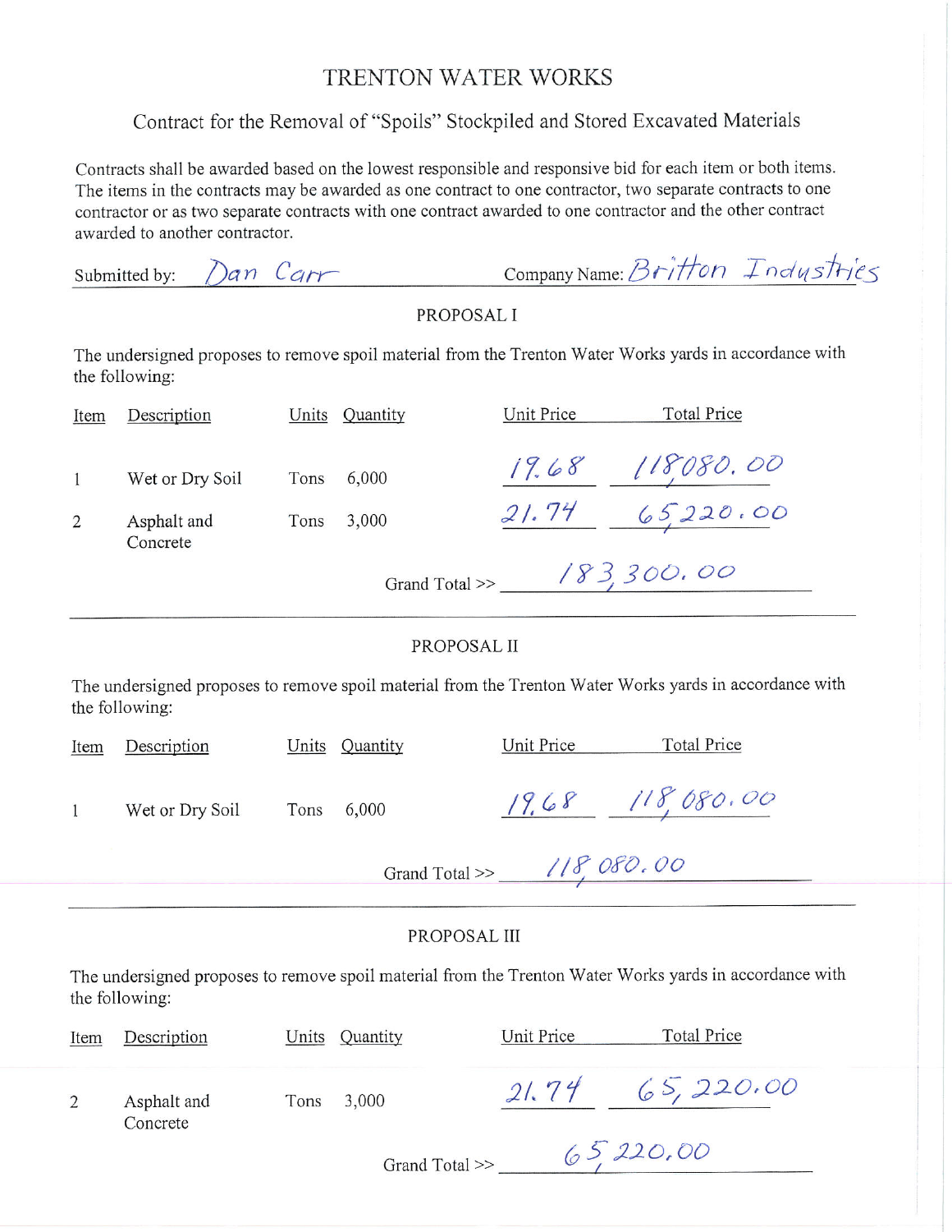### TRENTON WATER WORKS

# Contract for the Removal of "Spoils" Stockpiled and Stored Excavated Materials

Contracts shall be awarded based on the lowest responsible and responsive bid for each item or both items. The items in the contracts may be awarded as one contract to one contractor, two separate contracts to one contractor or as two separate contracts with one contract awarded to one contractor and the other contract awarded to another contractor.

|                                                                                                                           | Dan Carr<br>Submitted by:   |      |                |            | Company Name: Britton Industries                 |  |  |
|---------------------------------------------------------------------------------------------------------------------------|-----------------------------|------|----------------|------------|--------------------------------------------------|--|--|
| PROPOSAL I                                                                                                                |                             |      |                |            |                                                  |  |  |
| The undersigned proposes to remove spoil material from the Trenton Water Works yards in accordance with<br>the following: |                             |      |                |            |                                                  |  |  |
| Item                                                                                                                      | Description                 |      | Units Quantity | Unit Price | <b>Total Price</b>                               |  |  |
| $\mathbf{1}$                                                                                                              | Wet or Dry Soil             | Tons | 6,000          |            | $\frac{19.68}{21.74} \frac{118080.00}{65220.00}$ |  |  |
| $\overline{2}$                                                                                                            | Asphalt and<br>Concrete     | Tons | 3,000          |            |                                                  |  |  |
|                                                                                                                           | Grand Total >> $183,300,00$ |      |                |            |                                                  |  |  |
|                                                                                                                           |                             |      | PROPOSAL II    |            |                                                  |  |  |
| The undersigned proposes to remove spoil material from the Trenton Water Works yards in accordance with<br>the following: |                             |      |                |            |                                                  |  |  |
| Item                                                                                                                      | Description                 |      | Units Quantity | Unit Price | <b>Total Price</b>                               |  |  |
| 1                                                                                                                         | Wet or Dry Soil             | Tons | 6,000          |            | $19.68$ $118,080.00$                             |  |  |
| Grand Total >> $118,080,00$                                                                                               |                             |      |                |            |                                                  |  |  |
| PROPOSAL III                                                                                                              |                             |      |                |            |                                                  |  |  |
| The undersigned proposes to remove spoil material from the Trenton Water Works yards in accordance with<br>the following: |                             |      |                |            |                                                  |  |  |
| Item                                                                                                                      | Description                 |      | Units Quantity | Unit Price | <b>Total Price</b>                               |  |  |
| $\overline{2}$                                                                                                            | Asphalt and<br>Concrete     | Tons | 3,000          |            | $21.74$ 65, 220.00                               |  |  |

Grand Total >> 65, 220, 00